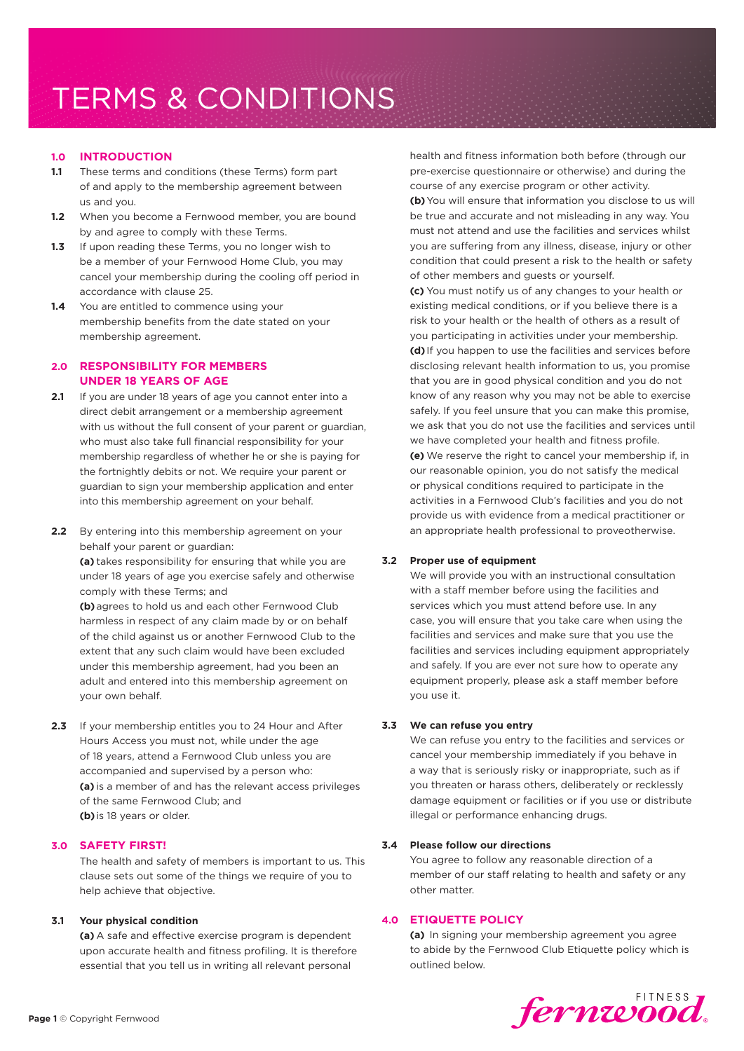## **1.0 INTRODUCTION**

- **1.1** These terms and conditions (these Terms) form part of and apply to the membership agreement between us and you.
- **1.2** When you become a Fernwood member, you are bound by and agree to comply with these Terms.
- **1.3** If upon reading these Terms, you no longer wish to be a member of your Fernwood Home Club, you may cancel your membership during the cooling off period in accordance with clause 25.
- **1.4** You are entitled to commence using your membership benefits from the date stated on your membership agreement.

# **2.0 RESPONSIBILITY FOR MEMBERS UNDER 18 YEARS OF AGE**

- **2.1** If you are under 18 years of age you cannot enter into a direct debit arrangement or a membership agreement with us without the full consent of your parent or guardian, who must also take full financial responsibility for your membership regardless of whether he or she is paying for the fortnightly debits or not. We require your parent or guardian to sign your membership application and enter into this membership agreement on your behalf.
- **2.2** By entering into this membership agreement on your behalf your parent or guardian:

**(a)** takes responsibility for ensuring that while you are under 18 years of age you exercise safely and otherwise comply with these Terms; and

**(b)**agrees to hold us and each other Fernwood Club harmless in respect of any claim made by or on behalf of the child against us or another Fernwood Club to the extent that any such claim would have been excluded under this membership agreement, had you been an adult and entered into this membership agreement on your own behalf.

**2.3** If your membership entitles you to 24 Hour and After Hours Access you must not, while under the age of 18 years, attend a Fernwood Club unless you are accompanied and supervised by a person who: **(a)** is a member of and has the relevant access privileges of the same Fernwood Club; and **(b)** is 18 years or older.

# **3.0 SAFETY FIRST!**

The health and safety of members is important to us. This clause sets out some of the things we require of you to help achieve that objective.

## **3.1 Your physical condition**

**(a)** A safe and effective exercise program is dependent upon accurate health and fitness profiling. It is therefore essential that you tell us in writing all relevant personal

health and fitness information both before (through our pre-exercise questionnaire or otherwise) and during the course of any exercise program or other activity.

**(b)**You will ensure that information you disclose to us will be true and accurate and not misleading in any way. You must not attend and use the facilities and services whilst you are suffering from any illness, disease, injury or other condition that could present a risk to the health or safety of other members and guests or yourself.

**(c)** You must notify us of any changes to your health or existing medical conditions, or if you believe there is a risk to your health or the health of others as a result of you participating in activities under your membership. **(d)** If you happen to use the facilities and services before disclosing relevant health information to us, you promise that you are in good physical condition and you do not know of any reason why you may not be able to exercise safely. If you feel unsure that you can make this promise, we ask that you do not use the facilities and services until we have completed your health and fitness profile. **(e)** We reserve the right to cancel your membership if, in our reasonable opinion, you do not satisfy the medical or physical conditions required to participate in the activities in a Fernwood Club's facilities and you do not provide us with evidence from a medical practitioner or an appropriate health professional to proveotherwise.

## **3.2 Proper use of equipment**

We will provide you with an instructional consultation with a staff member before using the facilities and services which you must attend before use. In any case, you will ensure that you take care when using the facilities and services and make sure that you use the facilities and services including equipment appropriately and safely. If you are ever not sure how to operate any equipment properly, please ask a staff member before you use it.

#### **3.3 We can refuse you entry**

We can refuse you entry to the facilities and services or cancel your membership immediately if you behave in a way that is seriously risky or inappropriate, such as if you threaten or harass others, deliberately or recklessly damage equipment or facilities or if you use or distribute illegal or performance enhancing drugs.

#### **3.4 Please follow our directions**

You agree to follow any reasonable direction of a member of our staff relating to health and safety or any other matter.

## **4.0 ETIQUETTE POLICY**

**(a)** In signing your membership agreement you agree to abide by the Fernwood Club Etiquette policy which is outlined below.

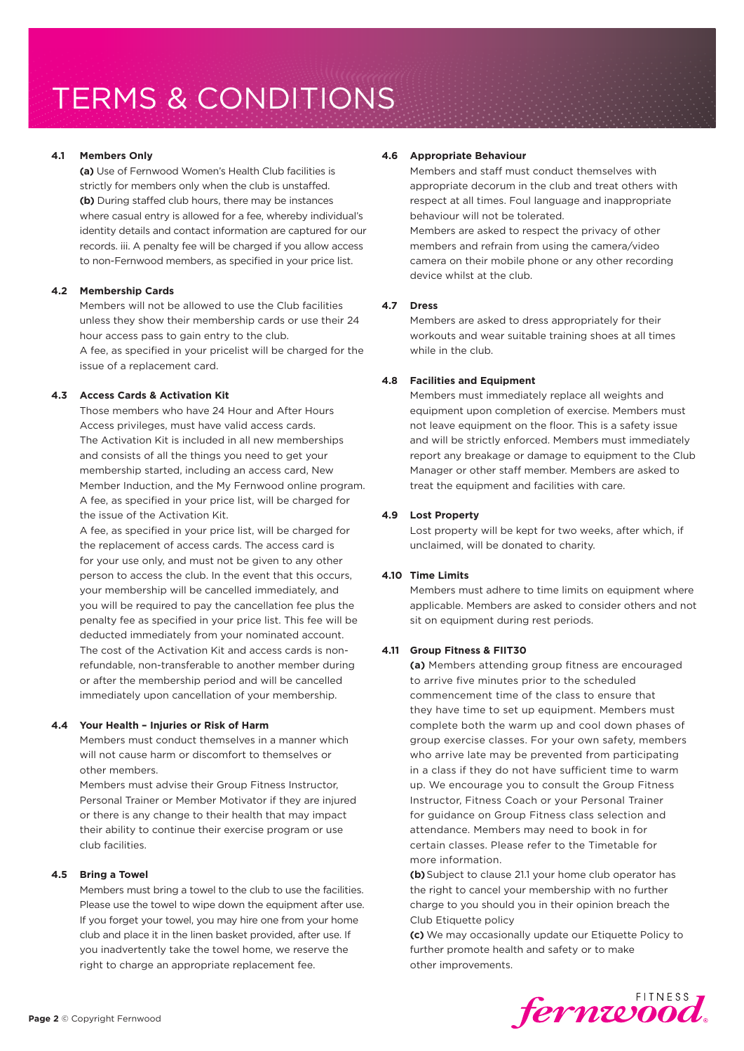## **4.1 Members Only**

**(a)** Use of Fernwood Women's Health Club facilities is strictly for members only when the club is unstaffed. **(b)** During staffed club hours, there may be instances where casual entry is allowed for a fee, whereby individual's identity details and contact information are captured for our records. iii. A penalty fee will be charged if you allow access to non-Fernwood members, as specified in your price list.

# **4.2 Membership Cards**

Members will not be allowed to use the Club facilities unless they show their membership cards or use their 24 hour access pass to gain entry to the club.

A fee, as specified in your pricelist will be charged for the issue of a replacement card.

# **4.3 Access Cards & Activation Kit**

Those members who have 24 Hour and After Hours Access privileges, must have valid access cards. The Activation Kit is included in all new memberships and consists of all the things you need to get your membership started, including an access card, New Member Induction, and the My Fernwood online program. A fee, as specified in your price list, will be charged for the issue of the Activation Kit.

A fee, as specified in your price list, will be charged for the replacement of access cards. The access card is for your use only, and must not be given to any other person to access the club. In the event that this occurs, your membership will be cancelled immediately, and you will be required to pay the cancellation fee plus the penalty fee as specified in your price list. This fee will be deducted immediately from your nominated account. The cost of the Activation Kit and access cards is nonrefundable, non-transferable to another member during or after the membership period and will be cancelled immediately upon cancellation of your membership.

## **4.4 Your Health – Injuries or Risk of Harm**

Members must conduct themselves in a manner which will not cause harm or discomfort to themselves or other members.

Members must advise their Group Fitness Instructor, Personal Trainer or Member Motivator if they are injured or there is any change to their health that may impact their ability to continue their exercise program or use club facilities.

## **4.5 Bring a Towel**

Members must bring a towel to the club to use the facilities. Please use the towel to wipe down the equipment after use. If you forget your towel, you may hire one from your home club and place it in the linen basket provided, after use. If you inadvertently take the towel home, we reserve the right to charge an appropriate replacement fee.

## **4.6 Appropriate Behaviour**

Members and staff must conduct themselves with appropriate decorum in the club and treat others with respect at all times. Foul language and inappropriate behaviour will not be tolerated. Members are asked to respect the privacy of other members and refrain from using the camera/video camera on their mobile phone or any other recording device whilst at the club.

# **4.7 Dress**

Members are asked to dress appropriately for their workouts and wear suitable training shoes at all times while in the club.

# **4.8 Facilities and Equipment**

Members must immediately replace all weights and equipment upon completion of exercise. Members must not leave equipment on the floor. This is a safety issue and will be strictly enforced. Members must immediately report any breakage or damage to equipment to the Club Manager or other staff member. Members are asked to treat the equipment and facilities with care.

# **4.9 Lost Property**

Lost property will be kept for two weeks, after which, if unclaimed, will be donated to charity.

# **4.10 Time Limits**

Members must adhere to time limits on equipment where applicable. Members are asked to consider others and not sit on equipment during rest periods.

# **4.11 Group Fitness & FIIT30**

**(a)** Members attending group fitness are encouraged to arrive five minutes prior to the scheduled commencement time of the class to ensure that they have time to set up equipment. Members must complete both the warm up and cool down phases of group exercise classes. For your own safety, members who arrive late may be prevented from participating in a class if they do not have sufficient time to warm up. We encourage you to consult the Group Fitness Instructor, Fitness Coach or your Personal Trainer for guidance on Group Fitness class selection and attendance. Members may need to book in for certain classes. Please refer to the Timetable for more information.

**(b)**Subject to clause 21.1 your home club operator has the right to cancel your membership with no further charge to you should you in their opinion breach the Club Etiquette policy

**(c)** We may occasionally update our Etiquette Policy to further promote health and safety or to make other improvements.

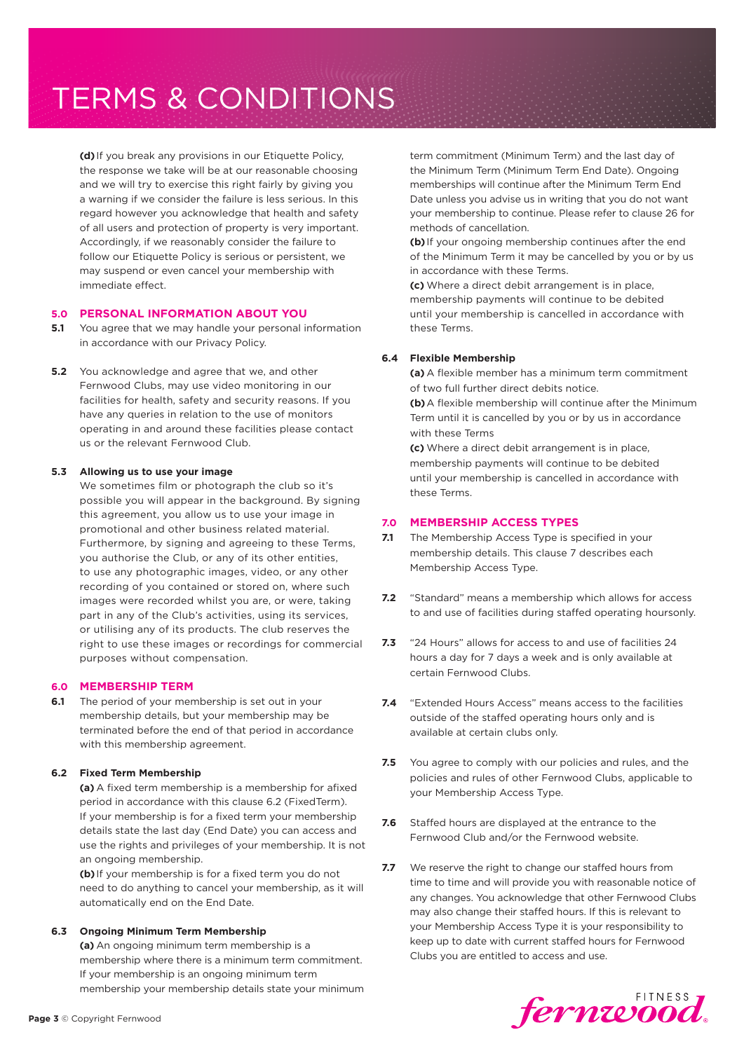**(d)** If you break any provisions in our Etiquette Policy, the response we take will be at our reasonable choosing and we will try to exercise this right fairly by giving you a warning if we consider the failure is less serious. In this regard however you acknowledge that health and safety of all users and protection of property is very important. Accordingly, if we reasonably consider the failure to follow our Etiquette Policy is serious or persistent, we may suspend or even cancel your membership with immediate effect.

## **5.0 PERSONAL INFORMATION ABOUT YOU**

- **5.1** You agree that we may handle your personal information in accordance with our Privacy Policy.
- **5.2** You acknowledge and agree that we, and other Fernwood Clubs, may use video monitoring in our facilities for health, safety and security reasons. If you have any queries in relation to the use of monitors operating in and around these facilities please contact us or the relevant Fernwood Club.

## **5.3 Allowing us to use your image**

We sometimes film or photograph the club so it's possible you will appear in the background. By signing this agreement, you allow us to use your image in promotional and other business related material. Furthermore, by signing and agreeing to these Terms, you authorise the Club, or any of its other entities, to use any photographic images, video, or any other recording of you contained or stored on, where such images were recorded whilst you are, or were, taking part in any of the Club's activities, using its services, or utilising any of its products. The club reserves the right to use these images or recordings for commercial purposes without compensation.

## **6.0 MEMBERSHIP TERM**

**6.1** The period of your membership is set out in your membership details, but your membership may be terminated before the end of that period in accordance with this membership agreement.

## **6.2 Fixed Term Membership**

**(a)** A fixed term membership is a membership for afixed period in accordance with this clause 6.2 (FixedTerm). If your membership is for a fixed term your membership details state the last day (End Date) you can access and use the rights and privileges of your membership. It is not an ongoing membership.

**(b)** If your membership is for a fixed term you do not need to do anything to cancel your membership, as it will automatically end on the End Date.

#### **6.3 Ongoing Minimum Term Membership**

**(a)** An ongoing minimum term membership is a membership where there is a minimum term commitment. If your membership is an ongoing minimum term membership your membership details state your minimum term commitment (Minimum Term) and the last day of the Minimum Term (Minimum Term End Date). Ongoing memberships will continue after the Minimum Term End Date unless you advise us in writing that you do not want your membership to continue. Please refer to clause 26 for methods of cancellation.

**(b)** If your ongoing membership continues after the end of the Minimum Term it may be cancelled by you or by us in accordance with these Terms.

**(c)** Where a direct debit arrangement is in place, membership payments will continue to be debited until your membership is cancelled in accordance with these Terms.

# **6.4 Flexible Membership**

**(a)** A flexible member has a minimum term commitment of two full further direct debits notice.

**(b)**A flexible membership will continue after the Minimum Term until it is cancelled by you or by us in accordance with these Terms

**(c)** Where a direct debit arrangement is in place, membership payments will continue to be debited until your membership is cancelled in accordance with these Terms.

## **7.0 MEMBERSHIP ACCESS TYPES**

- **7.1** The Membership Access Type is specified in your membership details. This clause 7 describes each Membership Access Type.
- **7.2** "Standard" means a membership which allows for access to and use of facilities during staffed operating hoursonly.
- **7.3** "24 Hours" allows for access to and use of facilities 24 hours a day for 7 days a week and is only available at certain Fernwood Clubs.
- **7.4** "Extended Hours Access" means access to the facilities outside of the staffed operating hours only and is available at certain clubs only.
- **7.5** You agree to comply with our policies and rules, and the policies and rules of other Fernwood Clubs, applicable to your Membership Access Type.
- **7.6** Staffed hours are displayed at the entrance to the Fernwood Club and/or the Fernwood website.
- **7.7** We reserve the right to change our staffed hours from time to time and will provide you with reasonable notice of any changes. You acknowledge that other Fernwood Clubs may also change their staffed hours. If this is relevant to your Membership Access Type it is your responsibility to keep up to date with current staffed hours for Fernwood Clubs you are entitled to access and use.

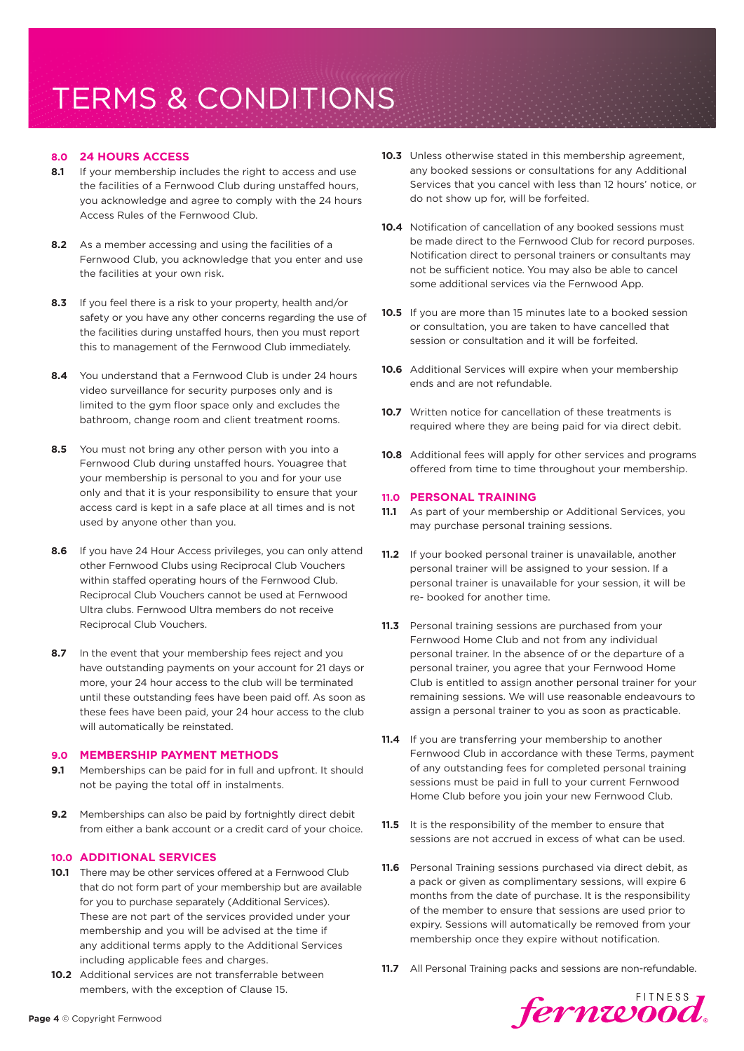# **8.0 24 HOURS ACCESS**

- **8.1** If your membership includes the right to access and use the facilities of a Fernwood Club during unstaffed hours, you acknowledge and agree to comply with the 24 hours Access Rules of the Fernwood Club.
- **8.2** As a member accessing and using the facilities of a Fernwood Club, you acknowledge that you enter and use the facilities at your own risk.
- **8.3** If you feel there is a risk to your property, health and/or safety or you have any other concerns regarding the use of the facilities during unstaffed hours, then you must report this to management of the Fernwood Club immediately.
- **8.4** You understand that a Fernwood Club is under 24 hours video surveillance for security purposes only and is limited to the gym floor space only and excludes the bathroom, change room and client treatment rooms.
- **8.5** You must not bring any other person with you into a Fernwood Club during unstaffed hours. Youagree that your membership is personal to you and for your use only and that it is your responsibility to ensure that your access card is kept in a safe place at all times and is not used by anyone other than you.
- **8.6** If you have 24 Hour Access privileges, you can only attend other Fernwood Clubs using Reciprocal Club Vouchers within staffed operating hours of the Fernwood Club. Reciprocal Club Vouchers cannot be used at Fernwood Ultra clubs. Fernwood Ultra members do not receive Reciprocal Club Vouchers.
- **8.7** In the event that your membership fees reject and you have outstanding payments on your account for 21 days or more, your 24 hour access to the club will be terminated until these outstanding fees have been paid off. As soon as these fees have been paid, your 24 hour access to the club will automatically be reinstated.

## **9.0 MEMBERSHIP PAYMENT METHODS**

- **9.1** Memberships can be paid for in full and upfront. It should not be paying the total off in instalments.
- **9.2** Memberships can also be paid by fortnightly direct debit from either a bank account or a credit card of your choice.

## **10.0 ADDITIONAL SERVICES**

- **10.1** There may be other services offered at a Fernwood Club that do not form part of your membership but are available for you to purchase separately (Additional Services). These are not part of the services provided under your membership and you will be advised at the time if any additional terms apply to the Additional Services including applicable fees and charges.
- **10.2** Additional services are not transferrable between members, with the exception of Clause 15.
- **10.3** Unless otherwise stated in this membership agreement, any booked sessions or consultations for any Additional Services that you cancel with less than 12 hours' notice, or do not show up for, will be forfeited.
- **10.4** Notification of cancellation of any booked sessions must be made direct to the Fernwood Club for record purposes. Notification direct to personal trainers or consultants may not be sufficient notice. You may also be able to cancel some additional services via the Fernwood App.
- **10.5** If you are more than 15 minutes late to a booked session or consultation, you are taken to have cancelled that session or consultation and it will be forfeited.
- **10.6** Additional Services will expire when your membership ends and are not refundable.
- **10.7** Written notice for cancellation of these treatments is required where they are being paid for via direct debit.
- **10.8** Additional fees will apply for other services and programs offered from time to time throughout your membership.

#### **11.0 PERSONAL TRAINING**

- **11.1** As part of your membership or Additional Services, you may purchase personal training sessions.
- **11.2** If your booked personal trainer is unavailable, another personal trainer will be assigned to your session. If a personal trainer is unavailable for your session, it will be re- booked for another time.
- **11.3** Personal training sessions are purchased from your Fernwood Home Club and not from any individual personal trainer. In the absence of or the departure of a personal trainer, you agree that your Fernwood Home Club is entitled to assign another personal trainer for your remaining sessions. We will use reasonable endeavours to assign a personal trainer to you as soon as practicable.
- **11.4** If you are transferring your membership to another Fernwood Club in accordance with these Terms, payment of any outstanding fees for completed personal training sessions must be paid in full to your current Fernwood Home Club before you join your new Fernwood Club.
- **11.5** It is the responsibility of the member to ensure that sessions are not accrued in excess of what can be used.
- **11.6** Personal Training sessions purchased via direct debit, as a pack or given as complimentary sessions, will expire 6 months from the date of purchase. It is the responsibility of the member to ensure that sessions are used prior to expiry. Sessions will automatically be removed from your membership once they expire without notification.
- **11.7** All Personal Training packs and sessions are non-refundable.

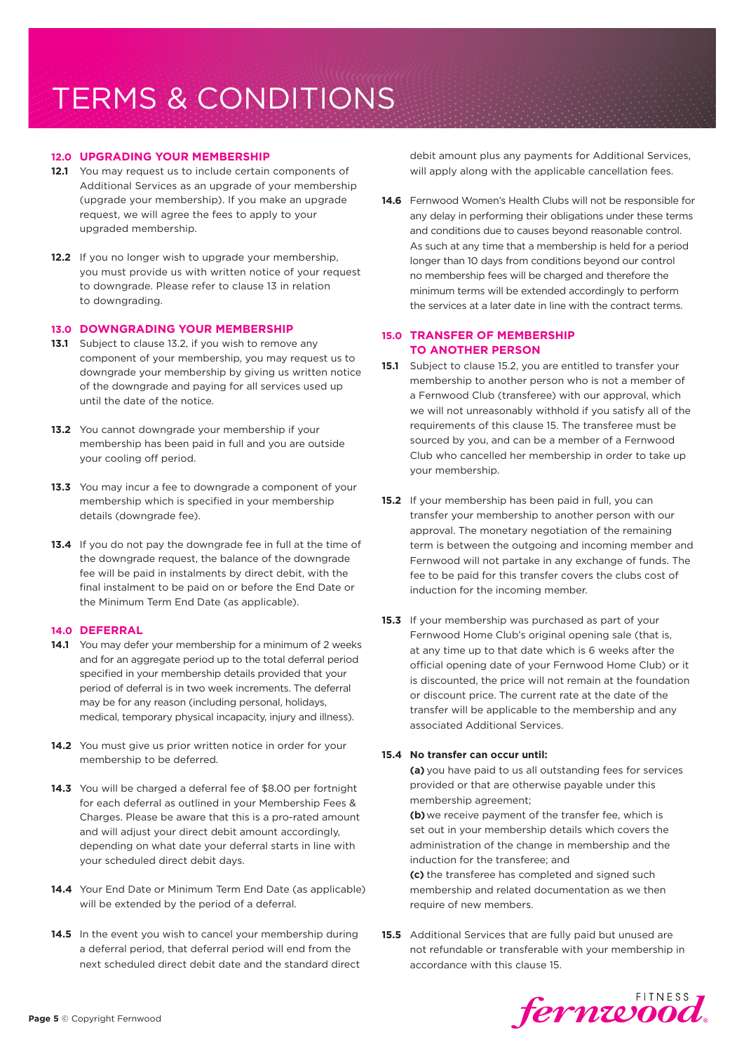# **12.0 UPGRADING YOUR MEMBERSHIP**

- **12.1** You may request us to include certain components of Additional Services as an upgrade of your membership (upgrade your membership). If you make an upgrade request, we will agree the fees to apply to your upgraded membership.
- **12.2** If you no longer wish to upgrade your membership, you must provide us with written notice of your request to downgrade. Please refer to clause 13 in relation to downgrading.

## **13.0 DOWNGRADING YOUR MEMBERSHIP**

- **13.1** Subject to clause 13.2, if you wish to remove any component of your membership, you may request us to downgrade your membership by giving us written notice of the downgrade and paying for all services used up until the date of the notice.
- **13.2** You cannot downgrade your membership if your membership has been paid in full and you are outside your cooling off period.
- **13.3** You may incur a fee to downgrade a component of your membership which is specified in your membership details (downgrade fee).
- **13.4** If you do not pay the downgrade fee in full at the time of the downgrade request, the balance of the downgrade fee will be paid in instalments by direct debit, with the final instalment to be paid on or before the End Date or the Minimum Term End Date (as applicable).

## **14.0 DEFERRAL**

- **14.1** You may defer your membership for a minimum of 2 weeks and for an aggregate period up to the total deferral period specified in your membership details provided that your period of deferral is in two week increments. The deferral may be for any reason (including personal, holidays, medical, temporary physical incapacity, injury and illness).
- **14.2** You must give us prior written notice in order for your membership to be deferred.
- **14.3** You will be charged a deferral fee of \$8.00 per fortnight for each deferral as outlined in your Membership Fees & Charges. Please be aware that this is a pro-rated amount and will adjust your direct debit amount accordingly, depending on what date your deferral starts in line with your scheduled direct debit days.
- **14.4** Your End Date or Minimum Term End Date (as applicable) will be extended by the period of a deferral.
- 14.5 In the event you wish to cancel your membership during a deferral period, that deferral period will end from the next scheduled direct debit date and the standard direct

debit amount plus any payments for Additional Services, will apply along with the applicable cancellation fees.

**14.6** Fernwood Women's Health Clubs will not be responsible for any delay in performing their obligations under these terms and conditions due to causes beyond reasonable control. As such at any time that a membership is held for a period longer than 10 days from conditions beyond our control no membership fees will be charged and therefore the minimum terms will be extended accordingly to perform the services at a later date in line with the contract terms.

# **15.0 TRANSFER OF MEMBERSHIP TO ANOTHER PERSON**

- **15.1** Subject to clause 15.2, you are entitled to transfer your membership to another person who is not a member of a Fernwood Club (transferee) with our approval, which we will not unreasonably withhold if you satisfy all of the requirements of this clause 15. The transferee must be sourced by you, and can be a member of a Fernwood Club who cancelled her membership in order to take up your membership.
- **15.2** If your membership has been paid in full, you can transfer your membership to another person with our approval. The monetary negotiation of the remaining term is between the outgoing and incoming member and Fernwood will not partake in any exchange of funds. The fee to be paid for this transfer covers the clubs cost of induction for the incoming member.
- **15.3** If your membership was purchased as part of your Fernwood Home Club's original opening sale (that is, at any time up to that date which is 6 weeks after the official opening date of your Fernwood Home Club) or it is discounted, the price will not remain at the foundation or discount price. The current rate at the date of the transfer will be applicable to the membership and any associated Additional Services.

## **15.4 No transfer can occur until:**

**(a)** you have paid to us all outstanding fees for services provided or that are otherwise payable under this membership agreement;

**(b)**we receive payment of the transfer fee, which is set out in your membership details which covers the administration of the change in membership and the induction for the transferee; and

**(c)** the transferee has completed and signed such membership and related documentation as we then require of new members.

**15.5** Additional Services that are fully paid but unused are not refundable or transferable with your membership in accordance with this clause 15.

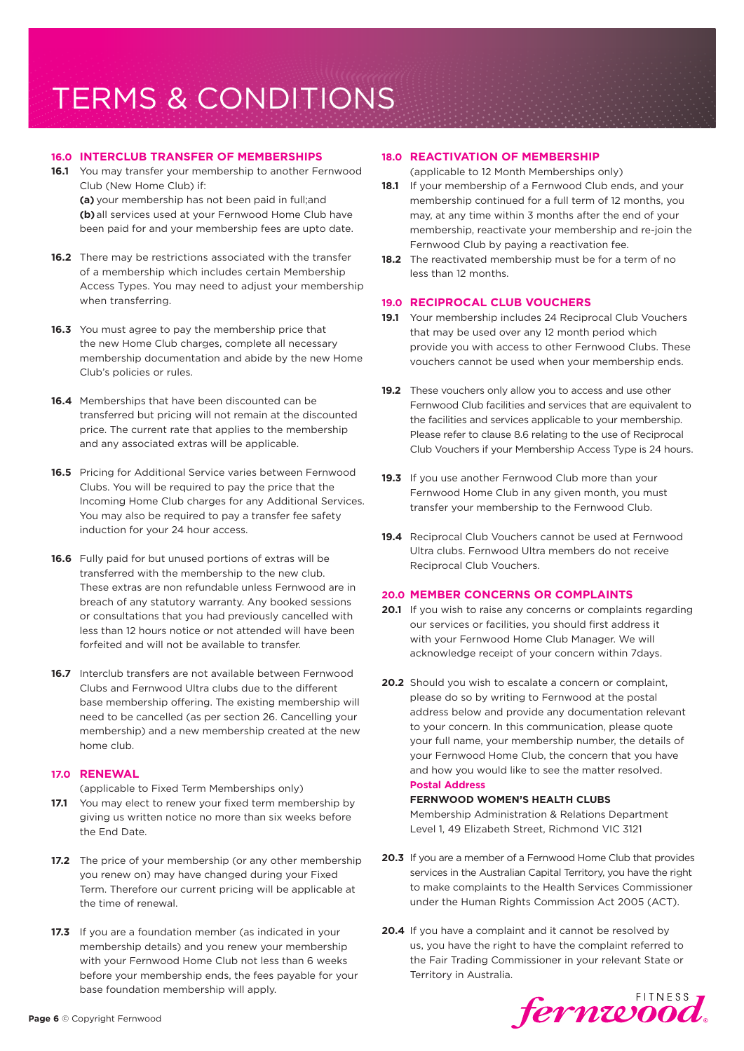# **16.0 INTERCLUB TRANSFER OF MEMBERSHIPS**

**16.1** You may transfer your membership to another Fernwood Club (New Home Club) if:

**(a)** your membership has not been paid in full;and **(b)**all services used at your Fernwood Home Club have been paid for and your membership fees are upto date.

- **16.2** There may be restrictions associated with the transfer of a membership which includes certain Membership Access Types. You may need to adjust your membership when transferring.
- **16.3** You must agree to pay the membership price that the new Home Club charges, complete all necessary membership documentation and abide by the new Home Club's policies or rules.
- **16.4** Memberships that have been discounted can be transferred but pricing will not remain at the discounted price. The current rate that applies to the membership and any associated extras will be applicable.
- **16.5** Pricing for Additional Service varies between Fernwood Clubs. You will be required to pay the price that the Incoming Home Club charges for any Additional Services. You may also be required to pay a transfer fee safety induction for your 24 hour access.
- **16.6** Fully paid for but unused portions of extras will be transferred with the membership to the new club. These extras are non refundable unless Fernwood are in breach of any statutory warranty. Any booked sessions or consultations that you had previously cancelled with less than 12 hours notice or not attended will have been forfeited and will not be available to transfer.
- **16.7** Interclub transfers are not available between Fernwood Clubs and Fernwood Ultra clubs due to the different base membership offering. The existing membership will need to be cancelled (as per section 26. Cancelling your membership) and a new membership created at the new home club.

## **17.0 RENEWAL**

(applicable to Fixed Term Memberships only)

- **17.1** You may elect to renew your fixed term membership by giving us written notice no more than six weeks before the End Date.
- **17.2** The price of your membership (or any other membership you renew on) may have changed during your Fixed Term. Therefore our current pricing will be applicable at the time of renewal.
- **17.3** If you are a foundation member (as indicated in your membership details) and you renew your membership with your Fernwood Home Club not less than 6 weeks before your membership ends, the fees payable for your base foundation membership will apply.

## **18.0 REACTIVATION OF MEMBERSHIP**

(applicable to 12 Month Memberships only)

- **18.1** If your membership of a Fernwood Club ends, and your membership continued for a full term of 12 months, you may, at any time within 3 months after the end of your membership, reactivate your membership and re-join the Fernwood Club by paying a reactivation fee.
- **18.2** The reactivated membership must be for a term of no less than 12 months.

## **19.0 RECIPROCAL CLUB VOUCHERS**

- **19.1** Your membership includes 24 Reciprocal Club Vouchers that may be used over any 12 month period which provide you with access to other Fernwood Clubs. These vouchers cannot be used when your membership ends.
- **19.2** These vouchers only allow you to access and use other Fernwood Club facilities and services that are equivalent to the facilities and services applicable to your membership. Please refer to clause 8.6 relating to the use of Reciprocal Club Vouchers if your Membership Access Type is 24 hours.
- **19.3** If you use another Fernwood Club more than your Fernwood Home Club in any given month, you must transfer your membership to the Fernwood Club.
- **19.4** Reciprocal Club Vouchers cannot be used at Fernwood Ultra clubs. Fernwood Ultra members do not receive Reciprocal Club Vouchers.

# **20.0 MEMBER CONCERNS OR COMPLAINTS**

- **20.1** If you wish to raise any concerns or complaints regarding our services or facilities, you should first address it with your Fernwood Home Club Manager. We will acknowledge receipt of your concern within 7days.
- **20.2** Should you wish to escalate a concern or complaint, please do so by writing to Fernwood at the postal address below and provide any documentation relevant to your concern. In this communication, please quote your full name, your membership number, the details of your Fernwood Home Club, the concern that you have and how you would like to see the matter resolved. **Postal Address**

# **FERNWOOD WOMEN'S HEALTH CLUBS** Membership Administration & Relations Department Level 1, 49 Elizabeth Street, Richmond VIC 3121

- **20.3** If you are a member of a Fernwood Home Club that provides services in the Australian Capital Territory, you have the right to make complaints to the Health Services Commissioner under the Human Rights Commission Act 2005 (ACT).
- **20.4** If you have a complaint and it cannot be resolved by us, you have the right to have the complaint referred to the Fair Trading Commissioner in your relevant State or Territory in Australia.

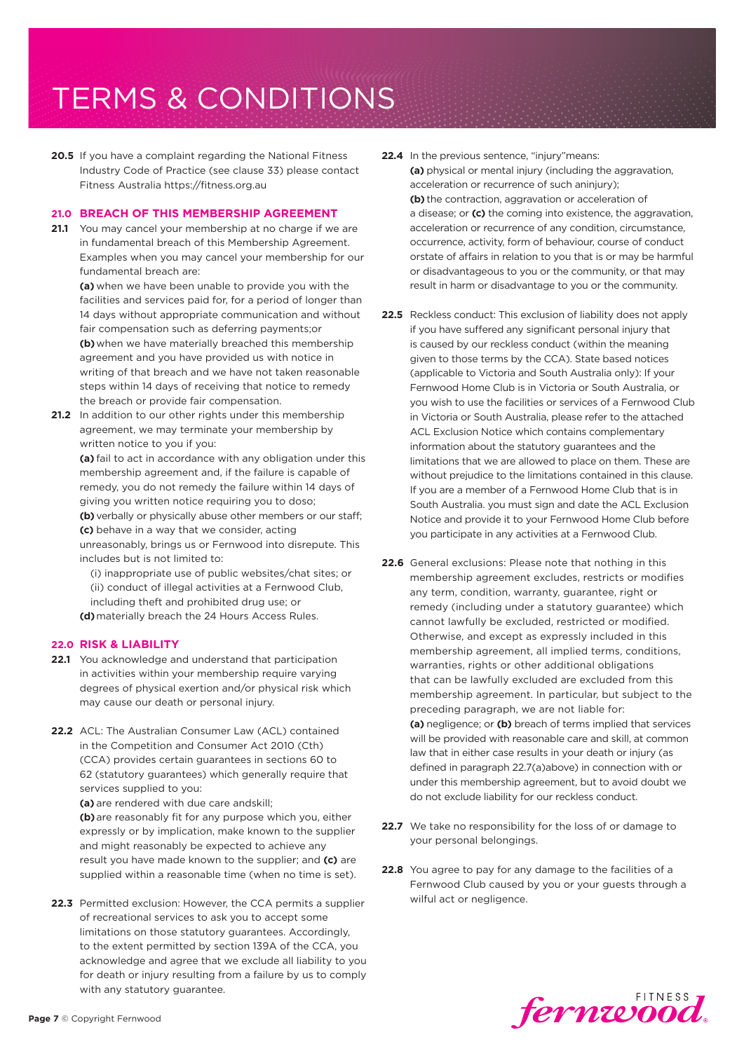20.5 If you have a complaint regarding the National Fitness Industry Code of Practice (see clause 33) please contact Fitness Australia https://fitness.org.au

## **21.0 BREACH OF THIS MEMBERSHIP AGREEMENT**

**21.1** You may cancel your membership at no charge if we are in fundamental breach of this Membership Agreement. Examples when you may cancel your membership for our fundamental breach are:

**(a)** when we have been unable to provide you with the facilities and services paid for, for a period of longer than 14 days without appropriate communication and without fair compensation such as deferring payments;or **(b)**when we have materially breached this membership agreement and you have provided us with notice in writing of that breach and we have not taken reasonable steps within 14 days of receiving that notice to remedy the breach or provide fair compensation.

**21.2** In addition to our other rights under this membership agreement, we may terminate your membership by written notice to you if you:

**(a)** fail to act in accordance with any obligation under this membership agreement and, if the failure is capable of remedy, you do not remedy the failure within 14 days of giving you written notice requiring you to doso; **(b)** verbally or physically abuse other members or our staff;

**(c)** behave in a way that we consider, acting unreasonably, brings us or Fernwood into disrepute. This includes but is not limited to:

(i) inappropriate use of public websites/chat sites; or (ii) conduct of illegal activities at a Fernwood Club, including theft and prohibited drug use; or **(d)**materially breach the 24 Hours Access Rules.

## **22.0 RISK & LIABILITY**

- **22.1** You acknowledge and understand that participation in activities within your membership require varying degrees of physical exertion and/or physical risk which may cause our death or personal injury.
- **22.2** ACL: The Australian Consumer Law (ACL) contained in the Competition and Consumer Act 2010 (Cth) (CCA) provides certain guarantees in sections 60 to 62 (statutory guarantees) which generally require that services supplied to you:

**(a)** are rendered with due care andskill; **(b)**are reasonably fit for any purpose which you, either expressly or by implication, make known to the supplier and might reasonably be expected to achieve any result you have made known to the supplier; and **(c)** are supplied within a reasonable time (when no time is set).

**22.3** Permitted exclusion: However, the CCA permits a supplier of recreational services to ask you to accept some limitations on those statutory guarantees. Accordingly, to the extent permitted by section 139A of the CCA, you acknowledge and agree that we exclude all liability to you for death or injury resulting from a failure by us to comply with any statutory guarantee.

- **22.4** In the previous sentence, "injury"means: **(a)** physical or mental injury (including the aggravation, acceleration or recurrence of such aninjury); **(b)** the contraction, aggravation or acceleration of a disease; or **(c)** the coming into existence, the aggravation, acceleration or recurrence of any condition, circumstance, occurrence, activity, form of behaviour, course of conduct orstate of affairs in relation to you that is or may be harmful or disadvantageous to you or the community, or that may result in harm or disadvantage to you or the community.
- **22.5** Reckless conduct: This exclusion of liability does not apply if you have suffered any significant personal injury that is caused by our reckless conduct (within the meaning given to those terms by the CCA). State based notices (applicable to Victoria and South Australia only): If your Fernwood Home Club is in Victoria or South Australia, or you wish to use the facilities or services of a Fernwood Club in Victoria or South Australia, please refer to the attached ACL Exclusion Notice which contains complementary information about the statutory guarantees and the limitations that we are allowed to place on them. These are without prejudice to the limitations contained in this clause. If you are a member of a Fernwood Home Club that is in South Australia. you must sign and date the ACL Exclusion Notice and provide it to your Fernwood Home Club before you participate in any activities at a Fernwood Club.
- **22.6** General exclusions: Please note that nothing in this membership agreement excludes, restricts or modifies any term, condition, warranty, guarantee, right or remedy (including under a statutory guarantee) which cannot lawfully be excluded, restricted or modified. Otherwise, and except as expressly included in this membership agreement, all implied terms, conditions, warranties, rights or other additional obligations that can be lawfully excluded are excluded from this membership agreement. In particular, but subject to the preceding paragraph, we are not liable for: **(a)** negligence; or **(b)** breach of terms implied that services will be provided with reasonable care and skill, at common law that in either case results in your death or injury (as defined in paragraph 22.7(a)above) in connection with or under this membership agreement, but to avoid doubt we do not exclude liability for our reckless conduct.
- 22.7 We take no responsibility for the loss of or damage to your personal belongings.
- **22.8** You agree to pay for any damage to the facilities of a Fernwood Club caused by you or your guests through a wilful act or negligence.

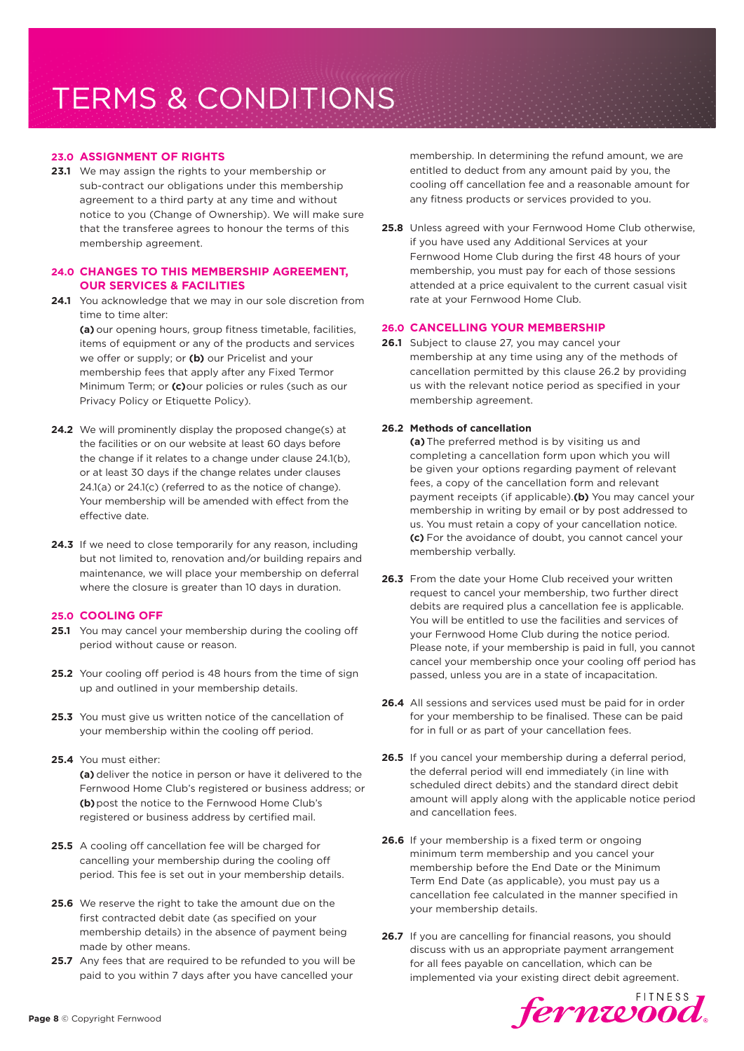# **23.0 ASSIGNMENT OF RIGHTS**

**23.1** We may assign the rights to your membership or sub-contract our obligations under this membership agreement to a third party at any time and without notice to you (Change of Ownership). We will make sure that the transferee agrees to honour the terms of this membership agreement.

# **24.0 CHANGES TO THIS MEMBERSHIP AGREEMENT, OUR SERVICES & FACILITIES**

**24.1** You acknowledge that we may in our sole discretion from time to time alter: **(a)** our opening hours, group fitness timetable, facilities,

items of equipment or any of the products and services we offer or supply; or **(b)** our Pricelist and your membership fees that apply after any Fixed Termor Minimum Term; or **(c)**our policies or rules (such as our Privacy Policy or Etiquette Policy).

- **24.2** We will prominently display the proposed change(s) at the facilities or on our website at least 60 days before the change if it relates to a change under clause 24.1(b), or at least 30 days if the change relates under clauses 24.1(a) or 24.1(c) (referred to as the notice of change). Your membership will be amended with effect from the effective date.
- 24.3 If we need to close temporarily for any reason, including but not limited to, renovation and/or building repairs and maintenance, we will place your membership on deferral where the closure is greater than 10 days in duration.

## **25.0 COOLING OFF**

- **25.1** You may cancel your membership during the cooling off period without cause or reason.
- **25.2** Your cooling off period is 48 hours from the time of sign up and outlined in your membership details.
- **25.3** You must give us written notice of the cancellation of your membership within the cooling off period.

# **25.4** You must either:

**(a)** deliver the notice in person or have it delivered to the Fernwood Home Club's registered or business address; or **(b)**post the notice to the Fernwood Home Club's registered or business address by certified mail.

- **25.5** A cooling off cancellation fee will be charged for cancelling your membership during the cooling off period. This fee is set out in your membership details.
- **25.6** We reserve the right to take the amount due on the first contracted debit date (as specified on your membership details) in the absence of payment being made by other means.
- **25.7** Any fees that are required to be refunded to you will be paid to you within 7 days after you have cancelled your

membership. In determining the refund amount, we are entitled to deduct from any amount paid by you, the cooling off cancellation fee and a reasonable amount for any fitness products or services provided to you.

**25.8** Unless agreed with your Fernwood Home Club otherwise, if you have used any Additional Services at your Fernwood Home Club during the first 48 hours of your membership, you must pay for each of those sessions attended at a price equivalent to the current casual visit rate at your Fernwood Home Club.

# **26.0 CANCELLING YOUR MEMBERSHIP**

**26.1** Subject to clause 27, you may cancel your membership at any time using any of the methods of cancellation permitted by this clause 26.2 by providing us with the relevant notice period as specified in your membership agreement.

# **26.2 Methods of cancellation**

**(a)** The preferred method is by visiting us and completing a cancellation form upon which you will be given your options regarding payment of relevant fees, a copy of the cancellation form and relevant payment receipts (if applicable).**(b)** You may cancel your membership in writing by email or by post addressed to us. You must retain a copy of your cancellation notice. **(c)** For the avoidance of doubt, you cannot cancel your membership verbally.

- **26.3** From the date your Home Club received your written request to cancel your membership, two further direct debits are required plus a cancellation fee is applicable. You will be entitled to use the facilities and services of your Fernwood Home Club during the notice period. Please note, if your membership is paid in full, you cannot cancel your membership once your cooling off period has passed, unless you are in a state of incapacitation.
- **26.4** All sessions and services used must be paid for in order for your membership to be finalised. These can be paid for in full or as part of your cancellation fees.
- **26.5** If you cancel your membership during a deferral period, the deferral period will end immediately (in line with scheduled direct debits) and the standard direct debit amount will apply along with the applicable notice period and cancellation fees.
- **26.6** If your membership is a fixed term or ongoing minimum term membership and you cancel your membership before the End Date or the Minimum Term End Date (as applicable), you must pay us a cancellation fee calculated in the manner specified in your membership details.
- **26.7** If you are cancelling for financial reasons, you should discuss with us an appropriate payment arrangement for all fees payable on cancellation, which can be implemented via your existing direct debit agreement.

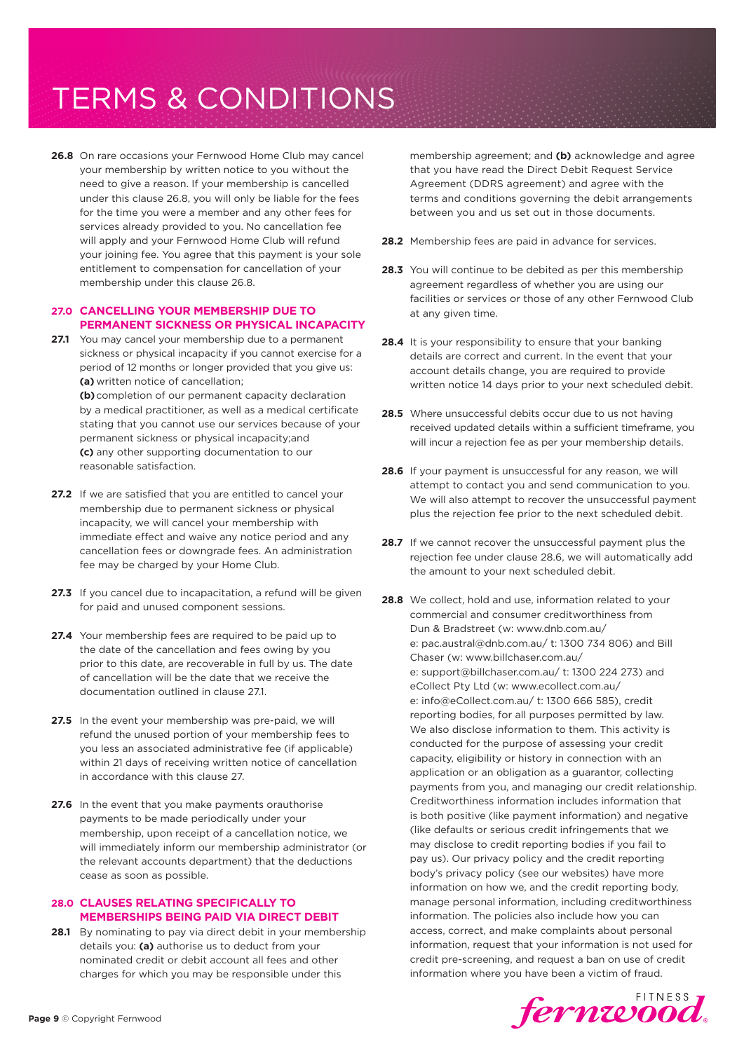**26.8** On rare occasions your Fernwood Home Club may cancel your membership by written notice to you without the need to give a reason. If your membership is cancelled under this clause 26.8, you will only be liable for the fees for the time you were a member and any other fees for services already provided to you. No cancellation fee will apply and your Fernwood Home Club will refund your joining fee. You agree that this payment is your sole entitlement to compensation for cancellation of your membership under this clause 26.8.

# **27.0 CANCELLING YOUR MEMBERSHIP DUE TO PERMANENT SICKNESS OR PHYSICAL INCAPACITY**

**27.1** You may cancel your membership due to a permanent sickness or physical incapacity if you cannot exercise for a period of 12 months or longer provided that you give us: **(a)** written notice of cancellation;

**(b)**completion of our permanent capacity declaration by a medical practitioner, as well as a medical certificate stating that you cannot use our services because of your permanent sickness or physical incapacity;and **(c)** any other supporting documentation to our reasonable satisfaction.

- **27.2** If we are satisfied that you are entitled to cancel your membership due to permanent sickness or physical incapacity, we will cancel your membership with immediate effect and waive any notice period and any cancellation fees or downgrade fees. An administration fee may be charged by your Home Club.
- 27.3 If you cancel due to incapacitation, a refund will be given for paid and unused component sessions.
- **27.4** Your membership fees are required to be paid up to the date of the cancellation and fees owing by you prior to this date, are recoverable in full by us. The date of cancellation will be the date that we receive the documentation outlined in clause 27.1.
- **27.5** In the event your membership was pre-paid, we will refund the unused portion of your membership fees to you less an associated administrative fee (if applicable) within 21 days of receiving written notice of cancellation in accordance with this clause 27.
- **27.6** In the event that you make payments orauthorise payments to be made periodically under your membership, upon receipt of a cancellation notice, we will immediately inform our membership administrator (or the relevant accounts department) that the deductions cease as soon as possible.

# **28.0 CLAUSES RELATING SPECIFICALLY TO MEMBERSHIPS BEING PAID VIA DIRECT DEBIT**

**28.1** By nominating to pay via direct debit in your membership details you: **(a)** authorise us to deduct from your nominated credit or debit account all fees and other charges for which you may be responsible under this

membership agreement; and **(b)** acknowledge and agree that you have read the Direct Debit Request Service Agreement (DDRS agreement) and agree with the terms and conditions governing the debit arrangements between you and us set out in those documents.

- **28.2** Membership fees are paid in advance for services.
- **28.3** You will continue to be debited as per this membership agreement regardless of whether you are using our facilities or services or those of any other Fernwood Club at any given time.
- 28.4 It is your responsibility to ensure that your banking details are correct and current. In the event that your account details change, you are required to provide written notice 14 days prior to your next scheduled debit.
- **28.5** Where unsuccessful debits occur due to us not having received updated details within a sufficient timeframe, you will incur a rejection fee as per your membership details.
- **28.6** If your payment is unsuccessful for any reason, we will attempt to contact you and send communication to you. We will also attempt to recover the unsuccessful payment plus the rejection fee prior to the next scheduled debit.
- **28.7** If we cannot recover the unsuccessful payment plus the rejection fee under clause 28.6, we will automatically add the amount to your next scheduled debit.
- **28.8** We collect, hold and use, information related to your commercial and consumer creditworthiness from Dun & Bradstreet (w: www.dnb.com.au/ e: pac.austral@dnb.com.au/ t: 1300 734 806) and Bill Chaser (w: www.billchaser.com.au/ e: support@billchaser.com.au/ t: 1300 224 273) and eCollect Pty Ltd (w: www.ecollect.com.au/ e: info@eCollect.com.au/ t: 1300 666 585), credit reporting bodies, for all purposes permitted by law. We also disclose information to them. This activity is conducted for the purpose of assessing your credit capacity, eligibility or history in connection with an application or an obligation as a guarantor, collecting payments from you, and managing our credit relationship. Creditworthiness information includes information that is both positive (like payment information) and negative (like defaults or serious credit infringements that we may disclose to credit reporting bodies if you fail to pay us). Our privacy policy and the credit reporting body's privacy policy (see our websites) have more information on how we, and the credit reporting body, manage personal information, including creditworthiness information. The policies also include how you can access, correct, and make complaints about personal information, request that your information is not used for credit pre-screening, and request a ban on use of credit information where you have been a victim of fraud.

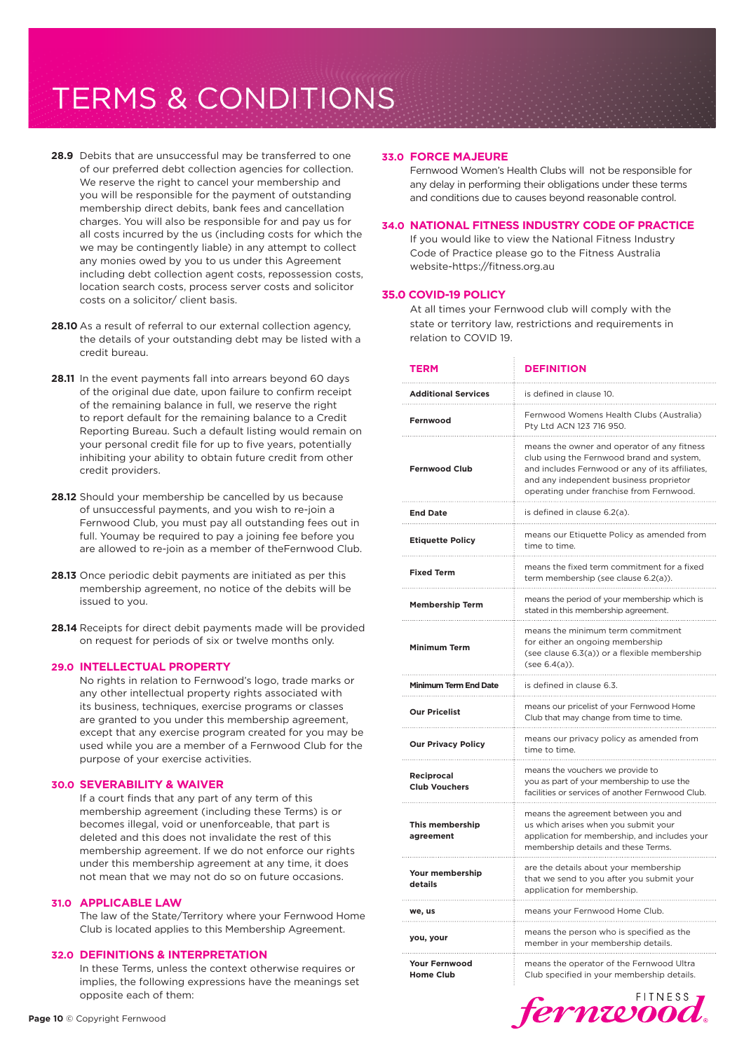- **28.9** Debits that are unsuccessful may be transferred to one of our preferred debt collection agencies for collection. We reserve the right to cancel your membership and you will be responsible for the payment of outstanding membership direct debits, bank fees and cancellation charges. You will also be responsible for and pay us for all costs incurred by the us (including costs for which the we may be contingently liable) in any attempt to collect any monies owed by you to us under this Agreement including debt collection agent costs, repossession costs, location search costs, process server costs and solicitor costs on a solicitor/ client basis.
- **28.10** As a result of referral to our external collection agency. the details of your outstanding debt may be listed with a credit bureau.
- **28.11** In the event payments fall into arrears beyond 60 days of the original due date, upon failure to confirm receipt of the remaining balance in full, we reserve the right to report default for the remaining balance to a Credit Reporting Bureau. Such a default listing would remain on your personal credit file for up to five years, potentially inhibiting your ability to obtain future credit from other credit providers.
- **28.12** Should your membership be cancelled by us because of unsuccessful payments, and you wish to re-join a Fernwood Club, you must pay all outstanding fees out in full. Youmay be required to pay a joining fee before you are allowed to re-join as a member of theFernwood Club.
- **28.13** Once periodic debit payments are initiated as per this membership agreement, no notice of the debits will be issued to you.
- **28.14** Receipts for direct debit payments made will be provided on request for periods of six or twelve months only.

#### **29.0 INTELLECTUAL PROPERTY**

No rights in relation to Fernwood's logo, trade marks or any other intellectual property rights associated with its business, techniques, exercise programs or classes are granted to you under this membership agreement, except that any exercise program created for you may be used while you are a member of a Fernwood Club for the purpose of your exercise activities.

#### **30.0 SEVERABILITY & WAIVER**

If a court finds that any part of any term of this membership agreement (including these Terms) is or becomes illegal, void or unenforceable, that part is deleted and this does not invalidate the rest of this membership agreement. If we do not enforce our rights under this membership agreement at any time, it does not mean that we may not do so on future occasions.

#### **31.0 APPLICABLE LAW**

The law of the State/Territory where your Fernwood Home Club is located applies to this Membership Agreement.

#### **32.0 DEFINITIONS & INTERPRETATION**

In these Terms, unless the context otherwise requires or implies, the following expressions have the meanings set opposite each of them:

#### **33.0 FORCE MAJEURE**

Fernwood Women's Health Clubs will not be responsible for any delay in performing their obligations under these terms and conditions due to causes beyond reasonable control.

#### **34.0 NATIONAL FITNESS INDUSTRY CODE OF PRACTICE**

If you would like to view the National Fitness Industry Code of Practice please go to the Fitness Australia website-https://fitness.org.au

#### **35.0 COVID-19 POLICY**

At all times your Fernwood club will comply with the state or territory law, restrictions and requirements in relation to COVID 19.

| <b>TERM</b>                              | <b>DEFINITION</b>                                                                                                                                                                                                                  |  |
|------------------------------------------|------------------------------------------------------------------------------------------------------------------------------------------------------------------------------------------------------------------------------------|--|
| <b>Additional Services</b>               | is defined in clause 10.                                                                                                                                                                                                           |  |
| Fernwood<br>.                            | Fernwood Womens Health Clubs (Australia)<br>Pty Ltd ACN 123 716 950.                                                                                                                                                               |  |
| <b>Fernwood Club</b>                     | means the owner and operator of any fitness<br>club using the Fernwood brand and system,<br>and includes Fernwood or any of its affiliates,<br>and any independent business proprietor<br>operating under franchise from Fernwood. |  |
| <b>End Date</b><br>.                     | is defined in clause 6.2(a).                                                                                                                                                                                                       |  |
| <b>Etiquette Policy</b>                  | means our Etiquette Policy as amended from<br>time to time.                                                                                                                                                                        |  |
| <b>Fixed Term</b>                        | means the fixed term commitment for a fixed<br>term membership (see clause 6.2(a)).                                                                                                                                                |  |
| <b>Membership Term</b>                   | means the period of your membership which is<br>stated in this membership agreement.                                                                                                                                               |  |
| <b>Minimum Term</b>                      | means the minimum term commitment<br>for either an ongoing membership<br>(see clause 6.3(a)) or a flexible membership<br>(see 6.4(a)).                                                                                             |  |
| Minimum Term End Date                    | is defined in clause 6.3.                                                                                                                                                                                                          |  |
| <b>Our Pricelist</b>                     | means our pricelist of your Fernwood Home<br>Club that may change from time to time.                                                                                                                                               |  |
| <b>Our Privacy Policy</b>                | means our privacy policy as amended from<br>time to time.                                                                                                                                                                          |  |
| Reciprocal<br><b>Club Vouchers</b>       | means the vouchers we provide to<br>you as part of your membership to use the<br>facilities or services of another Fernwood Club.                                                                                                  |  |
| This membership<br>agreement             | means the agreement between you and<br>us which arises when you submit your<br>application for membership, and includes your<br>membership details and these Terms.                                                                |  |
| Your membership<br>details               | are the details about your membership<br>that we send to you after you submit your<br>application for membership.                                                                                                                  |  |
| we, us                                   | means your Fernwood Home Club.                                                                                                                                                                                                     |  |
| you, your                                | means the person who is specified as the<br>member in your membership details.                                                                                                                                                     |  |
| <b>Your Fernwood</b><br><b>Home Club</b> | means the operator of the Fernwood Ultra<br>Club specified in your membership details.                                                                                                                                             |  |